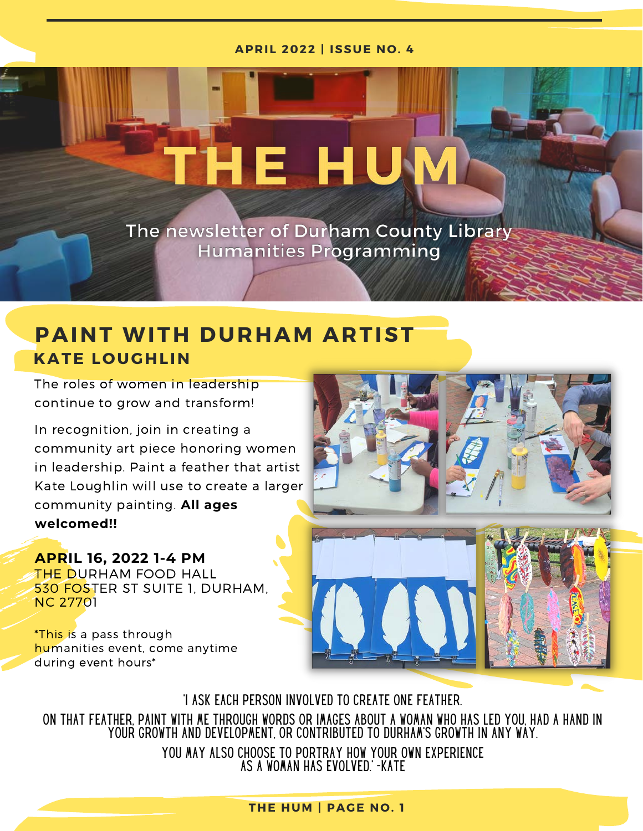**APRIL 2022 | ISSUE NO. 4** 

The newsletter of Durham County Library **Humanities Programming** 

**HEHUN** 

# **PAINT WITH DURHAM ARTIST KATE LOUGHLIN**

The roles of women in leadership continue to grow and transform!

In recognition, join in creating a community art piece honoring women in leadership. Paint a feather that artist Kate Loughlin will use to create a larger community painting. **All ages welcomed!!**

#### **APRIL 16, 2022 1-4 PM**

THE DURHAM FOOD HALL 530 FOSTER ST SUITE 1, DURHAM, NC 27701

\*This is a pass through humanities event, come anytime during event hours\*





'I ask each person involved to create one feather. On that feather, paint with me through words or images about a woman who has led you, had a hand in your growth and development, or contributed to Durham's growth in any way. You may also choose to portray how your own experience as a woman has evolved.' -Kate